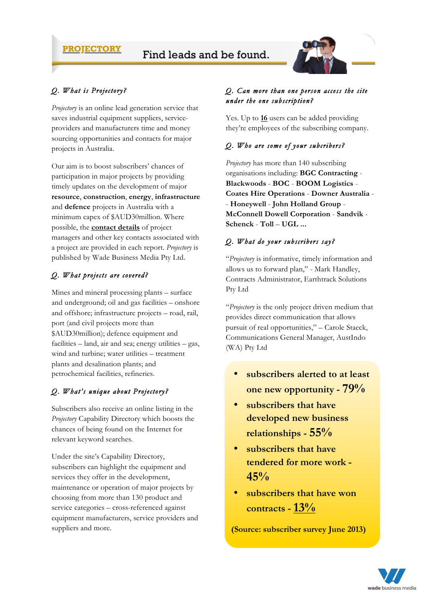## **PROJECTORY**



# *Q. What is Projectory?*

*Projectory* is an online lead generation service that saves industrial equipment suppliers, serviceproviders and manufacturers time and money sourcing opportunities and contacts for major projects in Australia.

Our aim is to boost subscribers' chances of participation in major projects by providing timely updates on the development of major **resource**, **construction**, **energy**, **infrastructure** and **defence** projects in Australia with a minimum capex of \$AUD30million. Where possible, the **contact details** of project managers and other key contacts associated with a project are provided in each report. *Projectory* is published by Wade Business Media Pty Ltd.

## *Q. What projects are covered?*

Mines and mineral processing plants – surface and underground; oil and gas facilities – onshore and offshore; infrastructure projects – road, rail, port (and civil projects more than \$AUD30million); defence equipment and facilities – land, air and sea; energy utilities – gas, wind and turbine; water utilities – treatment plants and desalination plants; and petrochemical facilities, refineries.

## *Q. What's unique about Projectory?*

Subscribers also receive an online listing in the *Projectory* Capability Directory which boosts the chances of being found on the Internet for relevant keyword searches.

Under the site's Capability Directory, subscribers can highlight the equipment and services they offer in the development, maintenance or operation of major projects by choosing from more than 130 product and service categories – cross-referenced against equipment manufacturers, service providers and suppliers and more.

#### *Q. Can more than one person access the site under the one subscription?*

Yes. Up to **16** users can be added providing they're employees of the subscribing company.

## *Q. Who are some of your subcribers?*

*Projectory* has more than 140 subscribing organisations including: **BGC Contracting** - **Blackwoods** - **BOC** - **BOOM Logistics** - **Coates Hire Operations** - **Downer Australia** - - **Honeywell** - **John Holland Group** - **McConnell Dowell Corporation** - **Sandvik** - **Schenck** - **Toll** – **UGL ...**

#### *Q. What do your subscribers say?*

"*Projectory* is informative, timely information and allows us to forward plan," - Mark Handley, Contracts Administrator, Earthtrack Solutions Pty Ltd

"*Projectory* is the only project driven medium that provides direct communication that allows pursuit of real opportunities," – Carole Staeck, Communications General Manager, AustIndo (WA) Pty Ltd

- **subscribers alerted to at least one new opportunity - 79%**
- **subscribers that have developed new business relationships - 55%**
- **subscribers that have tendered for more work - 45%**
- **subscribers that have won contracts -13%**

**(Source: subscriber survey June 2013)**